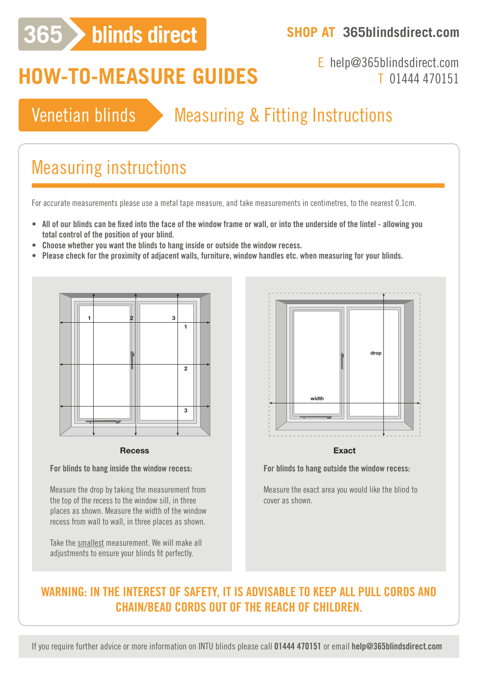# 365 > blinds direct

### **SHOP AT 365blindsdirect.com**

# **HOW-TO-MEASURE GUIDES**

## E help@365blindsdirect.com T 01444 470151

# Venetian blinds > Measuring & Fitting Instructions

# Measuring instructions

For accurate measurements please use a metal tape measure, and take measurements in centimetres, to the nearest 0.1cm.

- **• All of our blinds can be fixed into the face of the window frame or wall, or into the underside of the lintel allowing you total control of the position of your blind.**
- **• Choose whether you want the blinds to hang inside or outside the window recess.**
- **• Please check for the proximity of adjacent walls, furniture, window handles etc. when measuring for your blinds.**



#### **Recess Exact Recess Exact**

**For blinds to hang inside the window recess:**

Measure the drop by taking the measurement from the top of the recess to the window sill, in three places as shown. Measure the width of the window recess from wall to wall, in three places as shown.

Take the smallest measurement. We will make all adjustments to ensure your blinds fit perfectly.



**For blinds to hang outside the window recess:**

Measure the exact area you would like the blind to cover as shown.

### **WARNING: IN THE INTEREST OF SAFETY, IT IS ADVISABLE TO KEEP ALL PULL CORDS AND CHAIN/BEAD CORDS OUT OF THE REACH OF CHILDREN.**

If you require further advice or more information on INTU blinds please call **01444 470151** or email **help@365blindsdirect.com**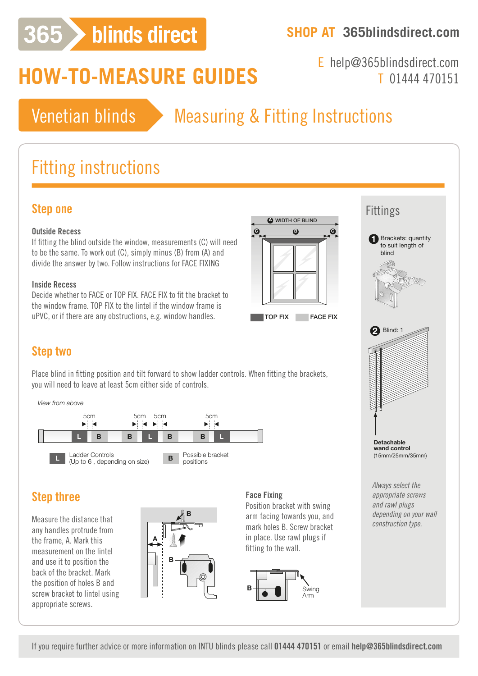# 365 > blinds direct

### **SHOP AT 365blindsdirect.com**

# **HOW-TO-MEASURE GUIDES**

E help@365blindsdirect.com T 01444 470151

## Venetian blinds > Measuring & Fitting Instructions

# Fitting instructions

### **Step one**

#### **Outside Recess**

If fitting the blind outside the window, measurements (C) will need to be the same. To work out (C), simply minus (B) from (A) and divide the answer by two. Follow instructions for FACE FIXING

#### **Inside Recess**

Decide whether to FACE or TOP FIX. FACE FIX to fit the bracket to the window frame. TOP FIX to the lintel if the window frame is uPVC, or if there are any obstructions, e.g. window handles.



### Fittings

Ladder Controls

5cm

(Up to 6 , depending on size)

positions **L B**

**L B L B L**



*Always select the appropriate screws and rawl plugs depending on your wall construction type.*

### **Step two**

Place blind in fitting position and tilt forward to show ladder controls. When fitting the brackets, you will need to leave at least 5cm either side of controls.

*View from above*



#### **Step three** WIDTH OF BLI

**C B C**

Measure the distance that any handles protrude from the frame, A. Mark this measurement on the lintel and use it to position the back of the bracket. Mark the position of holes B and  $\vert$  screw bracket to lintel using appropriate screws. TOP FIX FACE FIX **B B**  $\mathbb{E}[\mathbf{E}(\mathbf{E}(\mathbf{E})|\mathbf{E}(\mathbf{E}(\mathbf{E}(\mathbf{E}(\mathbf{E}(\mathbf{E}(\mathbf{E}(\mathbf{E}(\mathbf{E}(\mathbf{E}(\mathbf{E}(\mathbf{E}(\mathbf{E}(\mathbf{E}(\mathbf{E}(\mathbf{E}(\mathbf{E}(\mathbf{E}(\mathbf{E}(\mathbf{E}(\mathbf{E}(\mathbf{E}(\mathbf{E}(\mathbf{E}(\mathbf{E}(\mathbf{E}(\mathbf{E}(\mathbf{E}(\mathbf{E}(\mathbf{E}(\mathbf{E}(\mathbf$ 



#### **Face Fixing**

**A B A** Position bracket with swing arm facing towards you, and mark holes B. Screw bracket in place. Use rawl plugs if fitting to the wall.